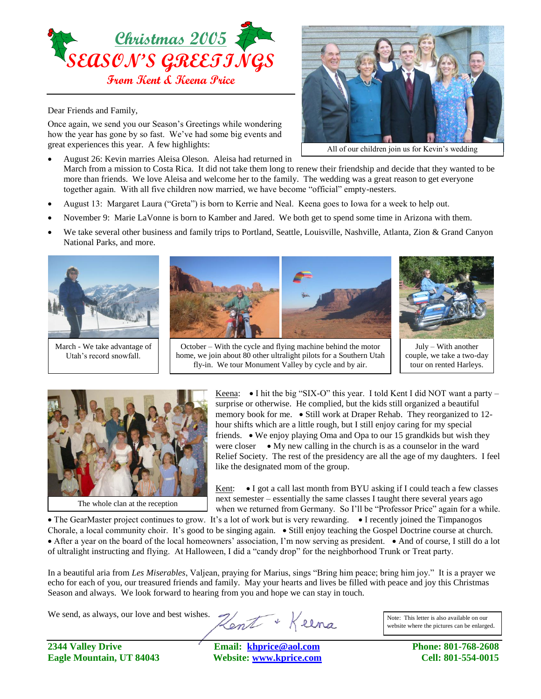

Dear Friends and Family,

Once again, we send you our Season's Greetings while wondering how the year has gone by so fast. We've had some big events and great experiences this year. A few highlights:

- August 26: Kevin marries Aleisa Oleson. Aleisa had returned in March from a mission to Costa Rica. It did not take them long to renew their friendship and decide that they wanted to be more than friends. We love Aleisa and welcome her to the family. The wedding was a great reason to get everyone together again. With all five children now married, we have become "official" empty-nesters.
- August 13: Margaret Laura ("Greta") is born to Kerrie and Neal. Keena goes to Iowa for a week to help out.
- November 9: Marie LaVonne is born to Kamber and Jared. We both get to spend some time in Arizona with them.
- We take several other business and family trips to Portland, Seattle, Louisville, Nashville, Atlanta, Zion & Grand Canyon National Parks, and more.



March - We take advantage of Utah's record snowfall.



October – With the cycle and flying machine behind the motor home, we join about 80 other ultralight pilots for a Southern Utah fly-in. We tour Monument Valley by cycle and by air.



All of our children join us for Kevin's wedding

July – With another couple, we take a two-day tour on rented Harleys.



Keena:  $\bullet$  I hit the big "SIX-O" this year. I told Kent I did NOT want a party – surprise or otherwise. He complied, but the kids still organized a beautiful memory book for me.  $\bullet$  Still work at Draper Rehab. They reorganized to 12hour shifts which are a little rough, but I still enjoy caring for my special friends.  $\bullet$  We enjoy playing Oma and Opa to our 15 grandkids but wish they were closer  $\bullet$  My new calling in the church is as a counselor in the ward Relief Society. The rest of the presidency are all the age of my daughters. I feel like the designated mom of the group.

Kent:  $\bullet$  I got a call last month from BYU asking if I could teach a few classes next semester – essentially the same classes I taught there several years ago when we returned from Germany. So I'll be "Professor Price" again for a while.

• The GearMaster project continues to grow. It's a lot of work but is very rewarding. • I recently joined the Timpanogos Chorale, a local community choir. It's good to be singing again.  $\bullet$  Still enjoy teaching the Gospel Doctrine course at church. • After a year on the board of the local homeowners' association, I'm now serving as president. • And of course, I still do a lot of ultralight instructing and flying. At Halloween, I did a "candy drop" for the neighborhood Trunk or Treat party.

In a beautiful aria from *Les Miserables*, Valjean, praying for Marius, sings "Bring him peace; bring him joy." It is a prayer we echo for each of you, our treasured friends and family. May your hearts and lives be filled with peace and joy this Christmas Season and always. We look forward to hearing from you and hope we can stay in touch.

We send, as always, our love and best wishes.

Hent + Keena

Note: This letter is also available on our website where the pictures can be enlarged.

**2344 Valley Drive Email: [khprice@aol.com](mailto:khprice@aol.com) Phone: 801-768-2608 Eagle Mountain, UT 84043 Website: [www.kprice.com](http://www.kprice.com/) Cell: 801-554-0015**